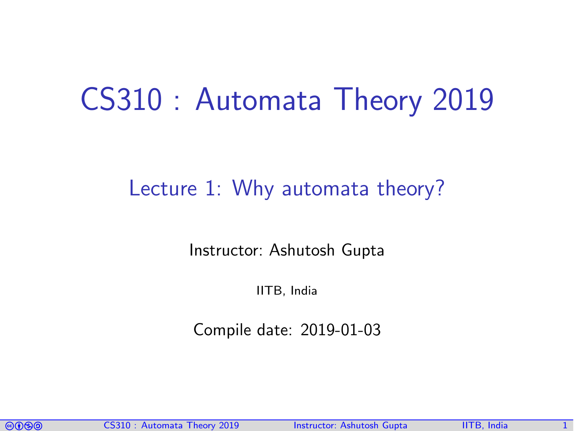# CS310 : Automata Theory 2019

#### Lecture 1: Why automata theory?

Instructor: [Ashutosh Gupta](http://www.cse.iitb.ac.in/~akg/)

IITB, India

Compile date: 2019-01-03

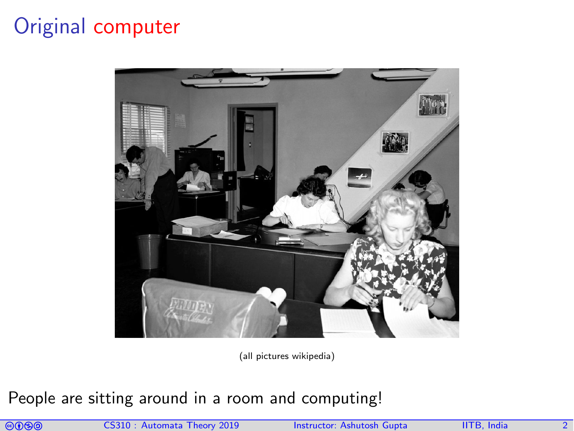### Original computer



(all pictures wikipedia)

People are sitting around in a room and computing!

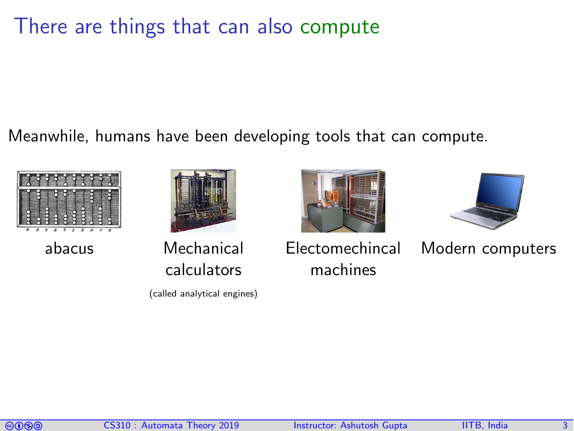#### There are things that can also compute

Meanwhile, humans have been developing tools that can compute.







abacus Mechanical calculators

(called analytical engines)





Electomechincal machines

Modern computers

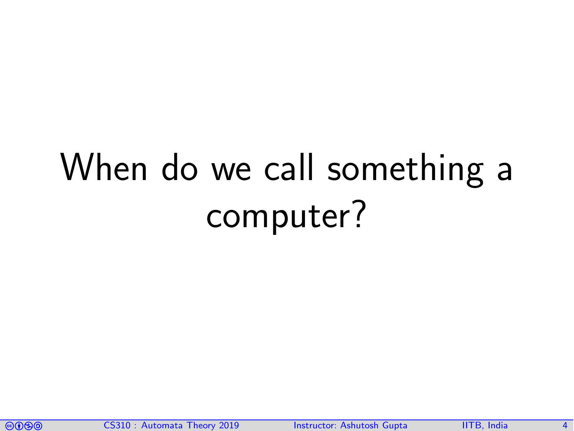# When do we call something a computer?

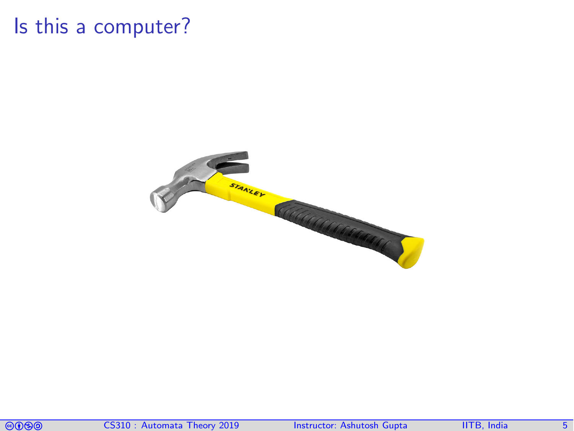#### Is this a computer?



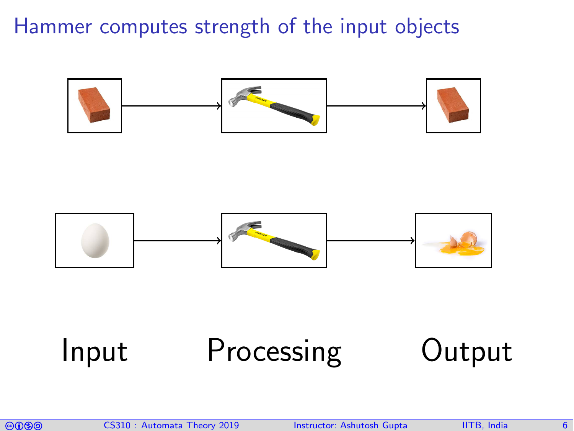Hammer computes strength of the input objects





# Input Processing Output

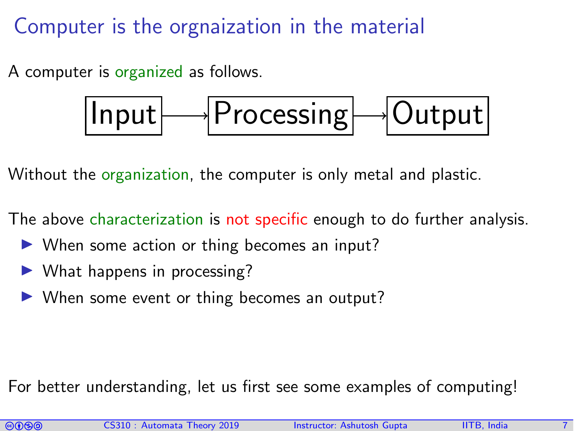Computer is the orgnaization in the material

A computer is organized as follows.

$$
\fbox{Input} \longrightarrow \fbox{Processing} \longrightarrow \fbox{Output}
$$

Without the organization, the computer is only metal and plastic.

The above characterization is not specific enough to do further analysis.

- $\triangleright$  When some action or thing becomes an input?
- $\triangleright$  What happens in processing?
- $\triangleright$  When some event or thing becomes an output?

For better understanding, let us first see some examples of computing!

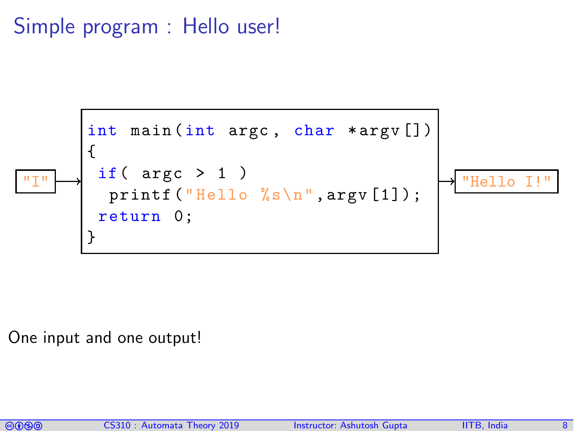#### Simple program : Hello user!



One input and one output!

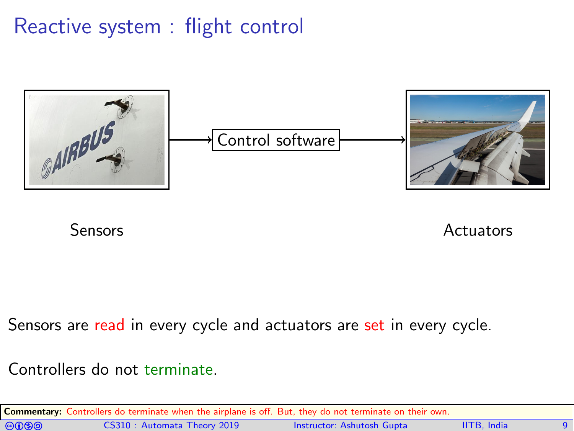### Reactive system : flight control



Sensors **Actuators** Actuators

Sensors are read in every cycle and actuators are set in every cycle.

Controllers do not terminate.

|                | <b>Commentary:</b> Controllers do terminate when the airplane is off. But, they do not terminate on their own. |                            |                    |  |
|----------------|----------------------------------------------------------------------------------------------------------------|----------------------------|--------------------|--|
| $\circledcirc$ | CS310: Automata Theory 2019                                                                                    | Instructor: Ashutosh Gupta | <b>IITB.</b> India |  |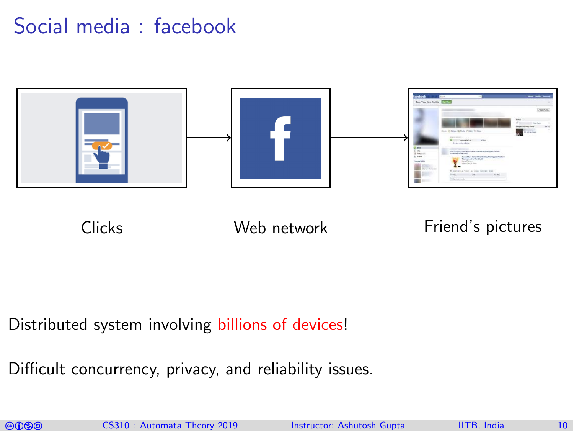### Social media : facebook



#### Clicks Web network Friend's pictures

Distributed system involving billions of devices!

Difficult concurrency, privacy, and reliability issues.

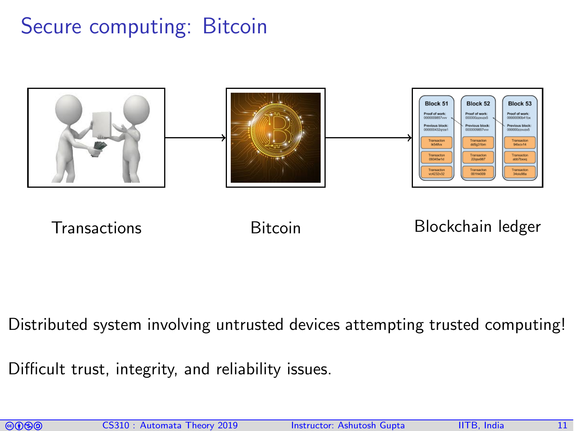### Secure computing: Bitcoin



Transactions Bitcoin Blockchain ledger

Distributed system involving untrusted devices attempting trusted computing!

Difficult trust, integrity, and reliability issues.

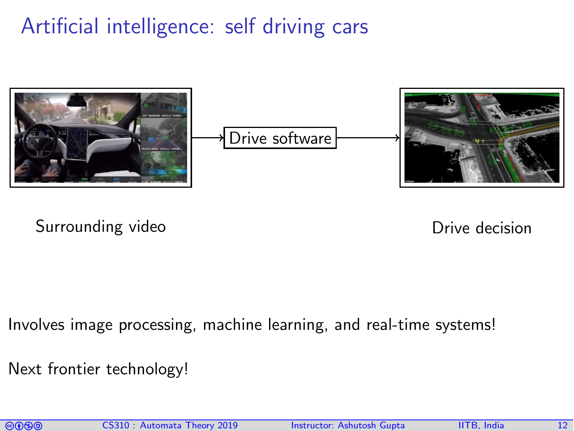# Artificial intelligence: self driving cars



Surrounding video **Drive decision** 

Involves image processing, machine learning, and real-time systems!

Next frontier technology!

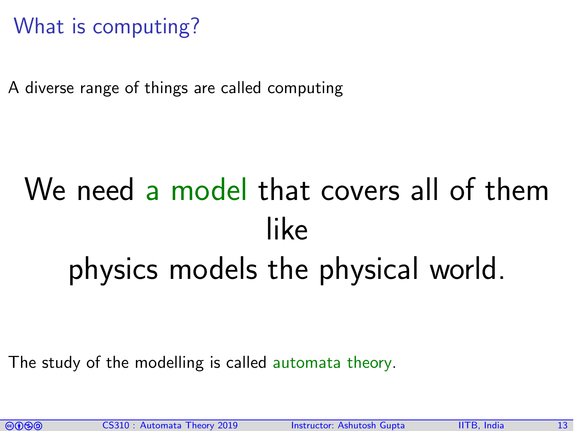# What is computing?

A diverse range of things are called computing

# We need a model that covers all of them like physics models the physical world.

The study of the modelling is called automata theory.

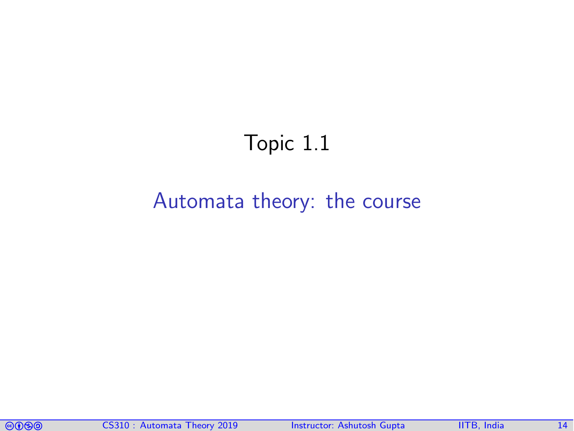# Topic 1.1

#### <span id="page-13-0"></span>[Automata theory: the course](#page-13-0)

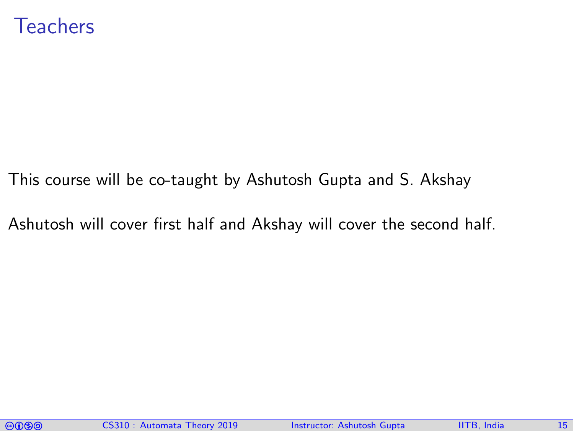#### **Teachers**

This course will be co-taught by Ashutosh Gupta and S. Akshay

Ashutosh will cover first half and Akshay will cover the second half.

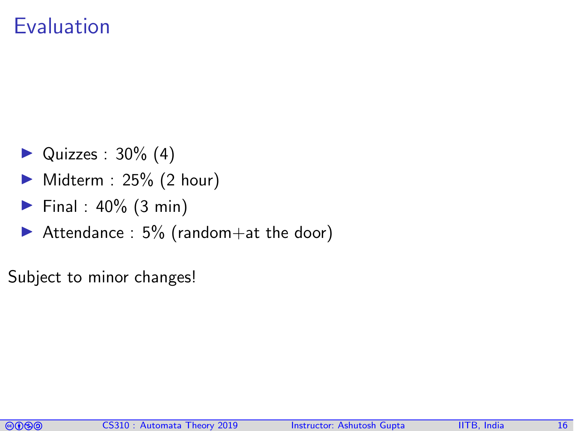#### Evaluation

- $\blacktriangleright$  Quizzes : 30% (4)
- $\triangleright$  Midterm : 25% (2 hour)
- Final :  $40\%$  (3 min)
- Attendance :  $5\%$  (random + at the door)
- Subject to minor changes!

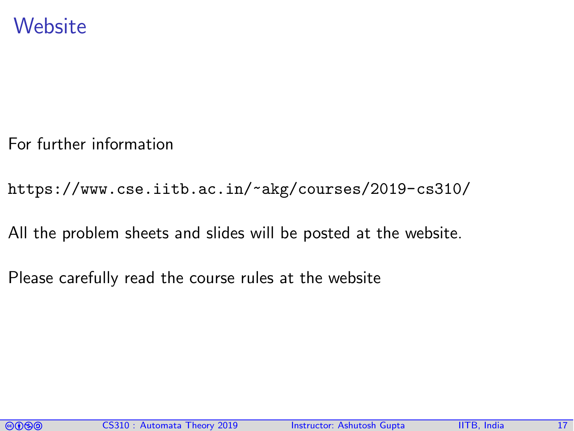#### **Website**

For further information

<https://www.cse.iitb.ac.in/~akg/courses/2019-cs310/>

All the problem sheets and slides will be posted at the website.

Please carefully read the course rules at the website

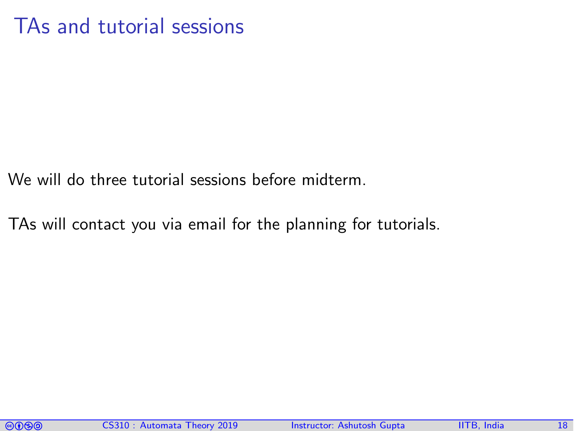#### TAs and tutorial sessions

We will do three tutorial sessions before midterm.

TAs will contact you via email for the planning for tutorials.

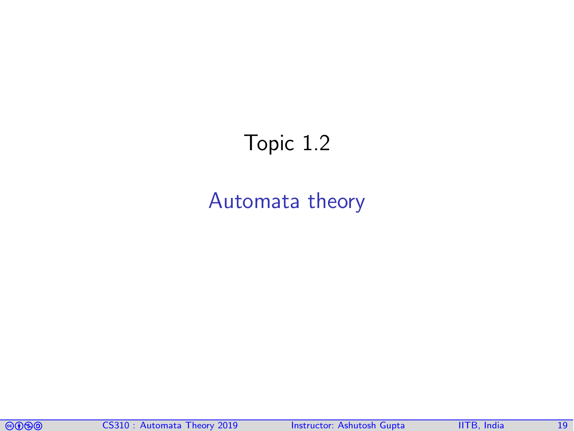# <span id="page-18-0"></span>Topic 1.2

#### [Automata theory](#page-18-0)

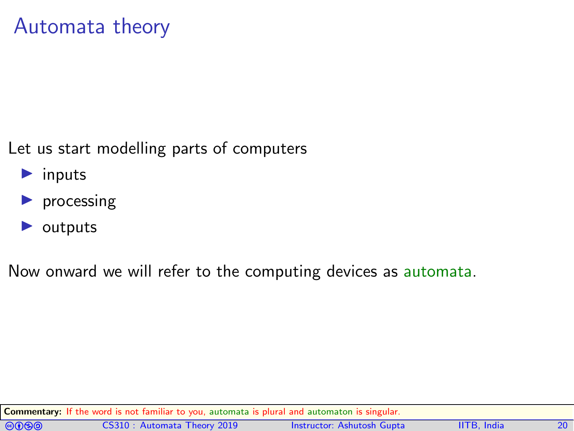#### Automata theory

Let us start modelling parts of computers

- $\blacktriangleright$  inputs
- $\blacktriangleright$  processing
- $\blacktriangleright$  outputs

Now onward we will refer to the computing devices as automata.

Commentary: If the word is not familiar to you, automata is plural and automaton is singular.

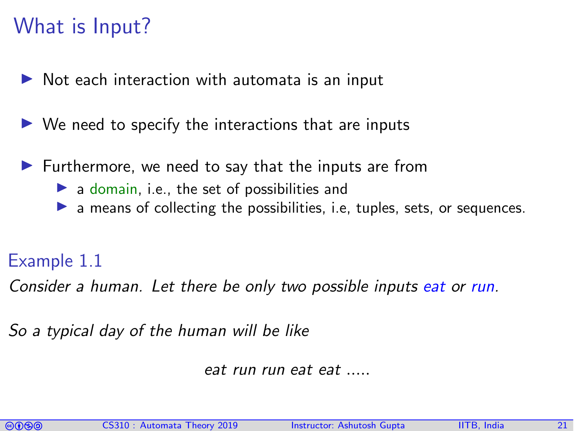### What is Input?

- Not each interaction with automata is an input
- $\triangleright$  We need to specify the interactions that are inputs
- Furthermore, we need to say that the inputs are from
	- $\blacktriangleright$  a domain, i.e., the set of possibilities and
	- $\blacktriangleright$  a means of collecting the possibilities, i.e. tuples, sets, or sequences.

#### Example 1.1

Consider a human. Let there be only two possible inputs eat or run.

So a typical day of the human will be like

eat run run eat eat .....

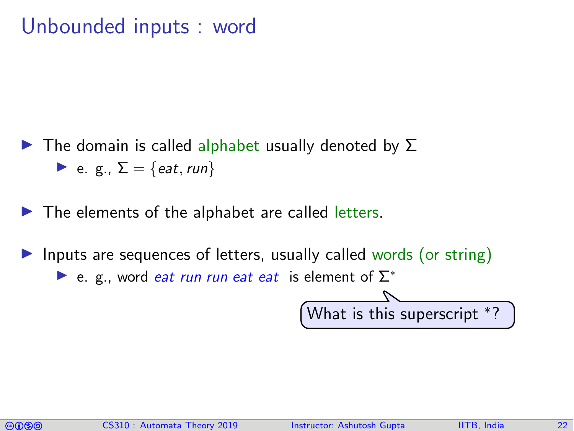#### Unbounded inputs : word

- $\blacktriangleright$  The domain is called alphabet usually denoted by  $\Sigma$  $\blacktriangleright$  e. g.,  $\Sigma = \{eat, run\}$
- $\blacktriangleright$  The elements of the alphabet are called letters.
- Inputs are sequences of letters, usually called words (or string)  $\triangleright$  e. g., word *eat run run eat eat* is element of  $\Sigma^*$

What is this superscript <sup>∗</sup> ?

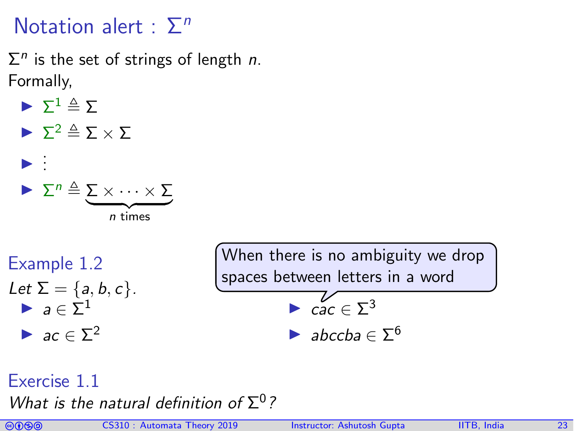#### Notation alert :  $\Sigma<sup>n</sup>$

 $\Sigma<sup>n</sup>$  is the set of strings of length *n*. Formally,

- $\blacktriangleright \Sigma^1 \triangleq \Sigma$  $\blacktriangleright$   $\Sigma^2 \triangleq \Sigma \times \Sigma$ I . . .
	- $\blacktriangleright$   $\Sigma^n \triangleq \Sigma \times \cdots \times \Sigma$  $\overline{n}$  times

Example 1.2

Let  $\Sigma = \{a, b, c\}$ .  $\blacktriangleright$   $a \in \Sigma^1$  $\blacktriangleright$  ac  $\in \Sigma^2$ 

When there is no ambiguity we drop spaces between letters in a word

$$
\blacktriangleright \ \mathop{cac} \in \Sigma^3
$$

$$
\blacktriangleright \textit{abccba} \in \Sigma^6
$$

#### Exercise 1.1

What is the natural definition of  $\Sigma^0$ ?

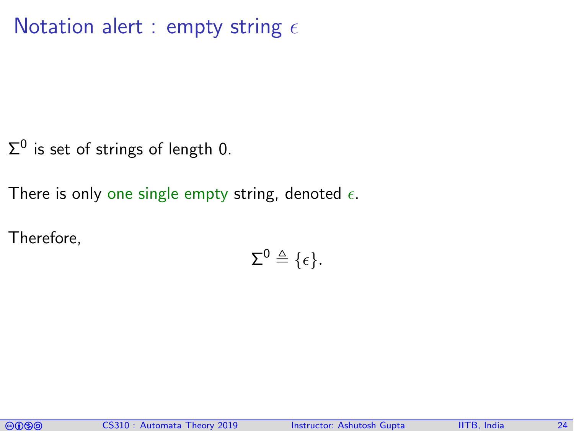#### Notation alert : empty string  $\epsilon$

 $\Sigma^0$  is set of strings of length 0.

There is only one single empty string, denoted  $\epsilon$ .

Therefore,

$$
\Sigma^0 \triangleq \{\epsilon\}.
$$

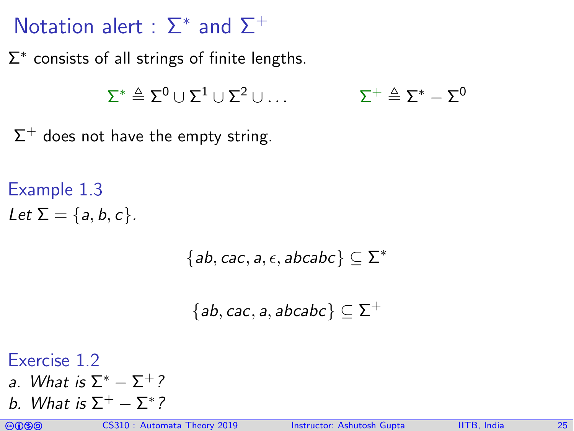# Notation alert :  $\Sigma^*$  and  $\Sigma^+$

 $\Sigma^*$  consists of all strings of finite lengths.

$$
\Sigma^* \triangleq \Sigma^0 \cup \Sigma^1 \cup \Sigma^2 \cup \ldots \qquad \qquad \Sigma^+ \triangleq \Sigma^* - \Sigma^0
$$

 $\Sigma^+$  does not have the empty string.

Example 1.3 Let  $\Sigma = \{a, b, c\}$ .

 ${ab, cac, a, \epsilon, abcabc} \subseteq \Sigma^*$ 

 $\{ab, cac, a, abcabc\} \subseteq \Sigma^+$ 

Exercise 1.2

- a. What is  $\Sigma^* \Sigma^+$ ?
- b. What is  $\Sigma^+ \Sigma^*$ ?

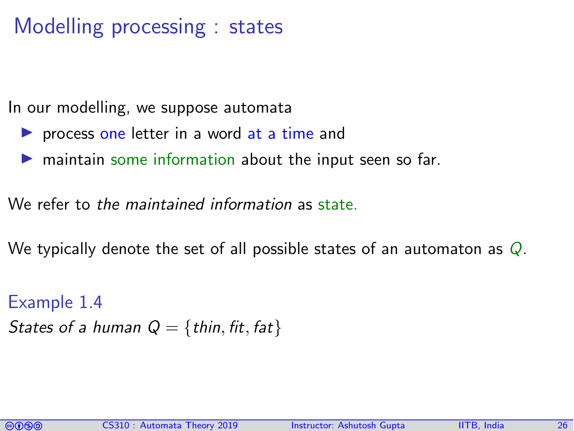# Modelling processing : states

In our modelling, we suppose automata

- $\triangleright$  process one letter in a word at a time and
- $\triangleright$  maintain some information about the input seen so far.

We refer to the maintained information as state.

We typically denote the set of all possible states of an automaton as  $Q$ .

Example 1.4 States of a human  $Q = \{thin, fit, fat\}$ 

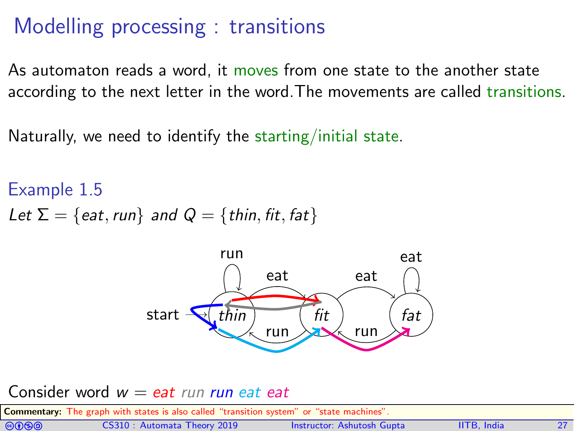# Modelling processing : transitions

As automaton reads a word, it moves from one state to the another state according to the next letter in the word.The movements are called transitions.

Naturally, we need to identify the starting/initial state.

Example 1.5 Let  $\Sigma = \{$ eat, run $\}$  and  $Q = \{$ thin, fit, fat $\}$ 



#### Consider word  $w = e$ at run run eat eat

Commentary: The graph with states is also called "transition system" or "state machines".

| <b>@@@</b> | CS310: Automata Theory 2019 | Instructor: Ashutosh Gupta | <b>IITB, India</b> |  |
|------------|-----------------------------|----------------------------|--------------------|--|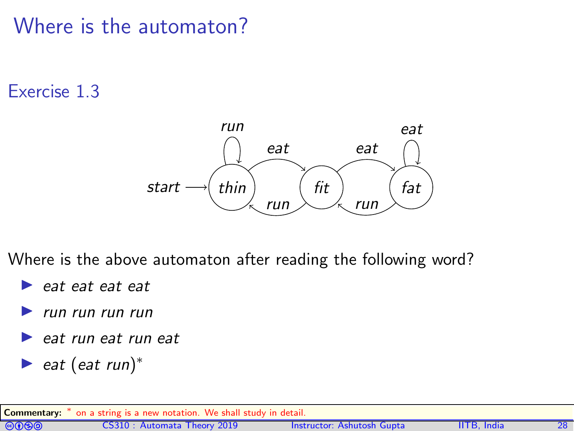## Where is the automaton?

#### Exercise 1.3



Where is the above automaton after reading the following word?

- $\blacktriangleright$  eat eat eat
- I run run run run
- $\blacktriangleright$  eat run eat run eat
- $\blacktriangleright$  eat (eat run)<sup>\*</sup>

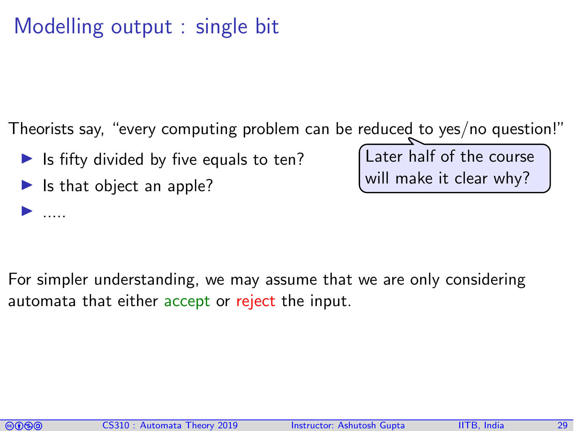# Modelling output : single bit

Theorists say, "every computing problem can be reduced to yes/no question!"

- Is fifty divided by five equals to ten?
- Is that object an apple?

Later half of the course will make it clear why?

For simpler understanding, we may assume that we are only considering automata that either accept or reject the input.

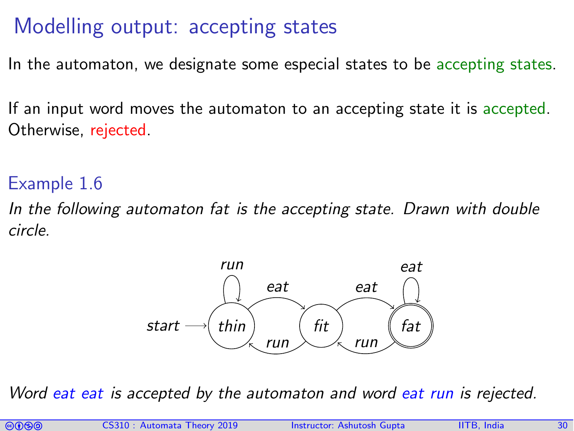# Modelling output: accepting states

In the automaton, we designate some especial states to be accepting states.

If an input word moves the automaton to an accepting state it is accepted. Otherwise, rejected.

#### Example 1.6

In the following automaton fat is the accepting state. Drawn with double circle.



Word eat eat is accepted by the automaton and word eat run is rejected.

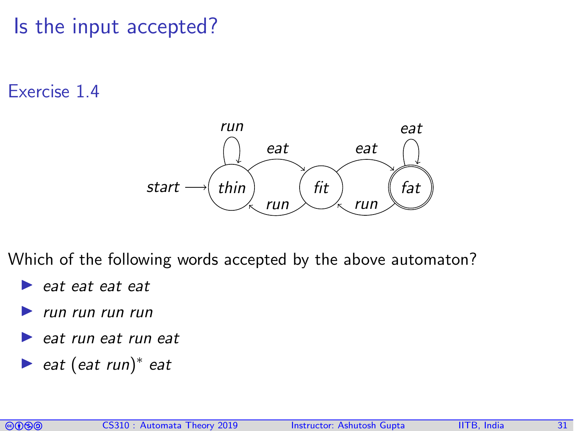Is the input accepted?

#### Exercise 1.4



Which of the following words accepted by the above automaton?

- $\blacktriangleright$  eat eat eat
- I run run run run
- eat run eat run eat
- ► eat (eat run)<sup>\*</sup> eat

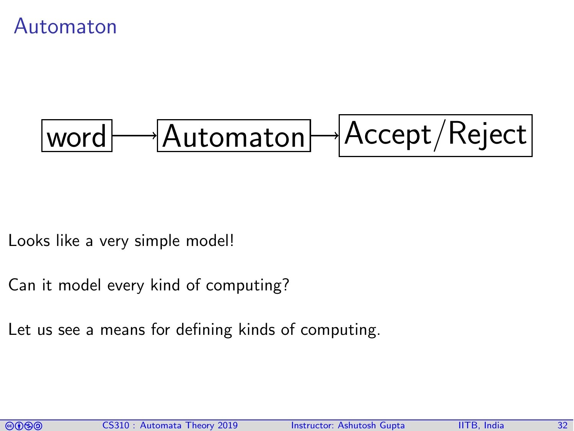Automaton

$$
\fbox{\textbf{Word}}\longrightarrow\fbox{\textbf{Automaton}}\longrightarrow\fbox{\textbf{Accept}}/\text{Reject}
$$

Looks like a very simple model!

- Can it model every kind of computing?
- Let us see a means for defining kinds of computing.

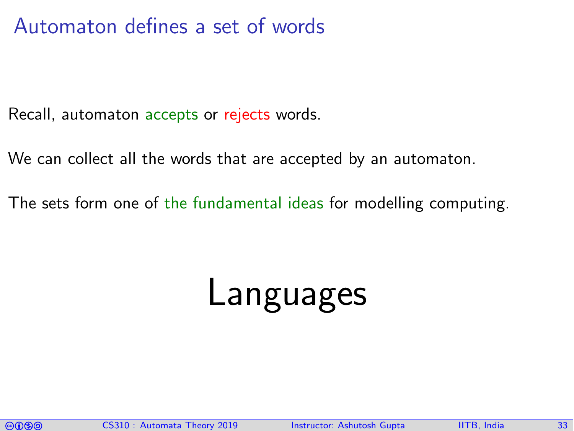#### Automaton defines a set of words

Recall, automaton accepts or rejects words.

We can collect all the words that are accepted by an automaton.

The sets form one of the fundamental ideas for modelling computing.

# Languages

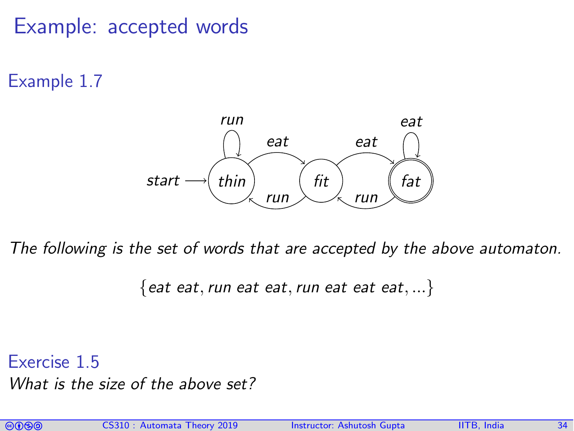#### Example: accepted words

Example 1.7



The following is the set of words that are accepted by the above automaton.

 ${$  eat eat, run eat eat, run eat eat eat, ...  $}$ 

Exercise 1.5 What is the size of the above set?

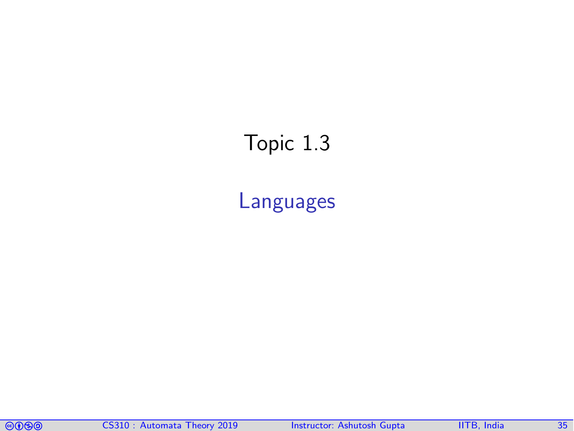# <span id="page-34-0"></span>Topic 1.3

[Languages](#page-34-0)

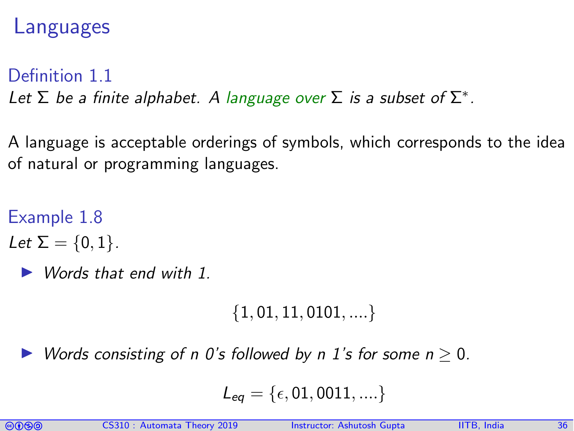#### Languages

#### Definition 1.1

Let  $\Sigma$  be a finite alphabet. A language over  $\Sigma$  is a subset of  $\Sigma^*$ .

A language is acceptable orderings of symbols, which corresponds to the idea of natural or programming languages.

#### Example 1.8

- Let  $\Sigma = \{0, 1\}$ .
	- Words that end with 1.

 $\{1, 01, 11, 0101, \ldots\}$ 

Words consisting of n 0's followed by n 1's for some  $n > 0$ .

$$
L_{eq}=\{\epsilon,01,0011,....\}
$$

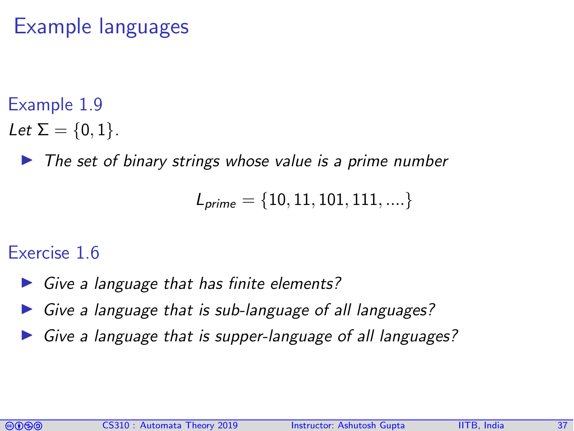# Example languages

#### Example 1.9

- Let  $\Sigma = \{0, 1\}$ .
	- $\triangleright$  The set of binary strings whose value is a prime number

$$
L_{\textit{prime}} = \{10, 11, 101, 111, ....\}
$$

#### Exercise 1.6

- $\triangleright$  Give a language that has finite elements?
- $\triangleright$  Give a language that is sub-language of all languages?
- Give a language that is supper-language of all languages?

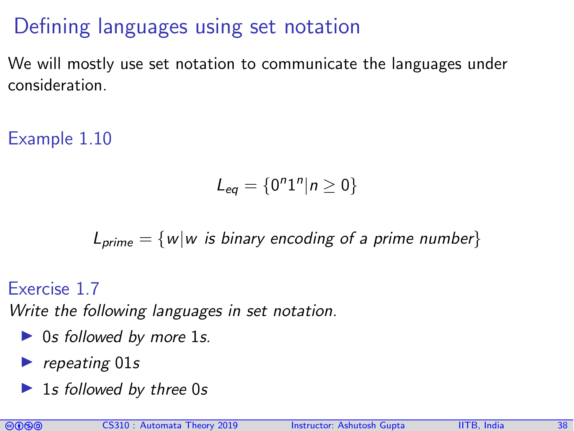# Defining languages using set notation

We will mostly use set notation to communicate the languages under consideration.

Example 1.10

$$
L_{eq}=\{0^n1^n|n\geq 0\}
$$

$$
L_{\text{prime}} = \{ w | w \text{ is binary encoding of a prime number} \}
$$

Exercise 1.7

Write the following languages in set notation.

- $\triangleright$  0s followed by more 1s.
- $\blacktriangleright$  repeating 01s
- $\blacktriangleright$  1s followed by three 0s

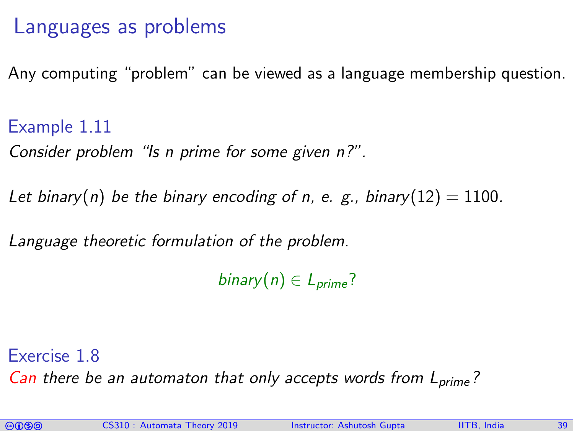#### Languages as problems

Any computing "problem" can be viewed as a language membership question.

Example 1.11

Consider problem "Is n prime for some given n?".

Let binary(n) be the binary encoding of n, e. g., binary(12) = 1100.

Language theoretic formulation of the problem.

binary(n)  $\in$  L<sub>prime</sub>?

Exercise 1.8 Can there be an automaton that only accepts words from  $L_{prime}$ ?

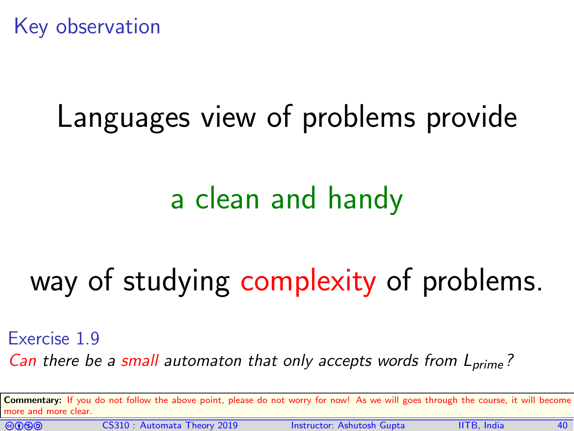

# Languages view of problems provide

# a clean and handy

# way of studying complexity of problems.

#### Exercise 1.9

Can there be a small automaton that only accepts words from  $L_{\text{prime}}$ ?

Commentary: If you do not follow the above point, please do not worry for now! As we will goes through the course, it will become more and more clear.



CS310 : Automata Theory 2019 Instructor: [Ashutosh Gupta](http://www.cse.iitb.ac.in/~akg/) IITB, India 40